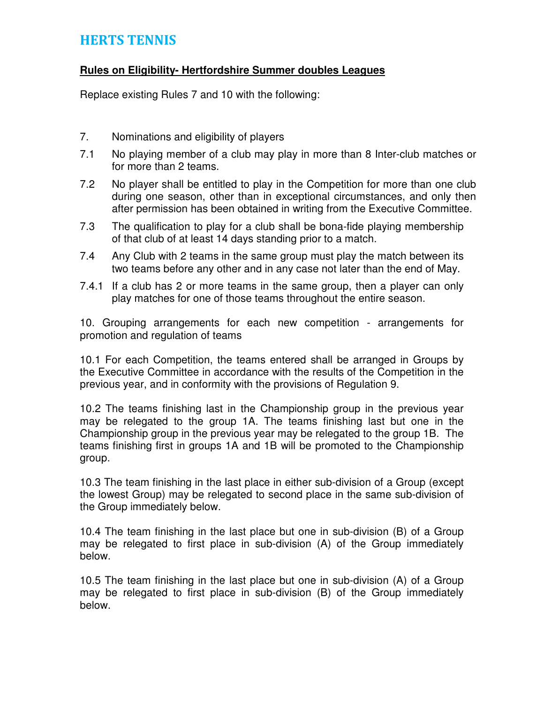## HERTS TENNIS

## **Rules on Eligibility- Hertfordshire Summer doubles Leagues**

Replace existing Rules 7 and 10 with the following:

- 7. Nominations and eligibility of players
- 7.1 No playing member of a club may play in more than 8 Inter-club matches or for more than 2 teams.
- 7.2 No player shall be entitled to play in the Competition for more than one club during one season, other than in exceptional circumstances, and only then after permission has been obtained in writing from the Executive Committee.
- 7.3 The qualification to play for a club shall be bona-fide playing membership of that club of at least 14 days standing prior to a match.
- 7.4 Any Club with 2 teams in the same group must play the match between its two teams before any other and in any case not later than the end of May.
- 7.4.1 If a club has 2 or more teams in the same group, then a player can only play matches for one of those teams throughout the entire season.

10. Grouping arrangements for each new competition - arrangements for promotion and regulation of teams

10.1 For each Competition, the teams entered shall be arranged in Groups by the Executive Committee in accordance with the results of the Competition in the previous year, and in conformity with the provisions of Regulation 9.

10.2 The teams finishing last in the Championship group in the previous year may be relegated to the group 1A. The teams finishing last but one in the Championship group in the previous year may be relegated to the group 1B. The teams finishing first in groups 1A and 1B will be promoted to the Championship group.

10.3 The team finishing in the last place in either sub-division of a Group (except the lowest Group) may be relegated to second place in the same sub-division of the Group immediately below.

10.4 The team finishing in the last place but one in sub-division (B) of a Group may be relegated to first place in sub-division (A) of the Group immediately below.

10.5 The team finishing in the last place but one in sub-division (A) of a Group may be relegated to first place in sub-division (B) of the Group immediately below.